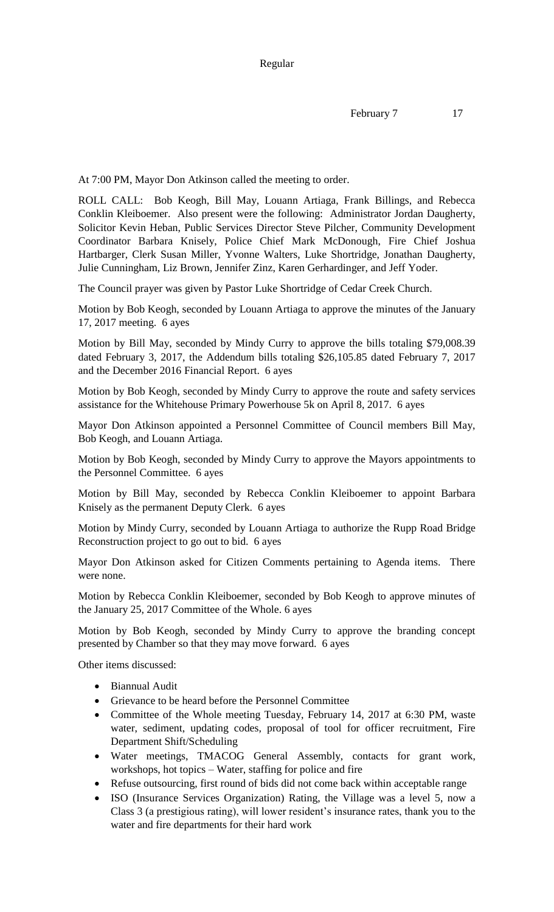Regular

February 7 17

At 7:00 PM, Mayor Don Atkinson called the meeting to order.

ROLL CALL: Bob Keogh, Bill May, Louann Artiaga, Frank Billings, and Rebecca Conklin Kleiboemer. Also present were the following: Administrator Jordan Daugherty, Solicitor Kevin Heban, Public Services Director Steve Pilcher, Community Development Coordinator Barbara Knisely, Police Chief Mark McDonough, Fire Chief Joshua Hartbarger, Clerk Susan Miller, Yvonne Walters, Luke Shortridge, Jonathan Daugherty, Julie Cunningham, Liz Brown, Jennifer Zinz, Karen Gerhardinger, and Jeff Yoder.

The Council prayer was given by Pastor Luke Shortridge of Cedar Creek Church.

Motion by Bob Keogh, seconded by Louann Artiaga to approve the minutes of the January 17, 2017 meeting. 6 ayes

Motion by Bill May, seconded by Mindy Curry to approve the bills totaling \$79,008.39 dated February 3, 2017, the Addendum bills totaling \$26,105.85 dated February 7, 2017 and the December 2016 Financial Report. 6 ayes

Motion by Bob Keogh, seconded by Mindy Curry to approve the route and safety services assistance for the Whitehouse Primary Powerhouse 5k on April 8, 2017. 6 ayes

Mayor Don Atkinson appointed a Personnel Committee of Council members Bill May, Bob Keogh, and Louann Artiaga.

Motion by Bob Keogh, seconded by Mindy Curry to approve the Mayors appointments to the Personnel Committee. 6 ayes

Motion by Bill May, seconded by Rebecca Conklin Kleiboemer to appoint Barbara Knisely as the permanent Deputy Clerk. 6 ayes

Motion by Mindy Curry, seconded by Louann Artiaga to authorize the Rupp Road Bridge Reconstruction project to go out to bid. 6 ayes

Mayor Don Atkinson asked for Citizen Comments pertaining to Agenda items. There were none.

Motion by Rebecca Conklin Kleiboemer, seconded by Bob Keogh to approve minutes of the January 25, 2017 Committee of the Whole. 6 ayes

Motion by Bob Keogh, seconded by Mindy Curry to approve the branding concept presented by Chamber so that they may move forward. 6 ayes

Other items discussed:

- Biannual Audit
- Grievance to be heard before the Personnel Committee
- Committee of the Whole meeting Tuesday, February 14, 2017 at 6:30 PM, waste water, sediment, updating codes, proposal of tool for officer recruitment, Fire Department Shift/Scheduling
- Water meetings, TMACOG General Assembly, contacts for grant work, workshops, hot topics – Water, staffing for police and fire
- Refuse outsourcing, first round of bids did not come back within acceptable range
- ISO (Insurance Services Organization) Rating, the Village was a level 5, now a Class 3 (a prestigious rating), will lower resident's insurance rates, thank you to the water and fire departments for their hard work